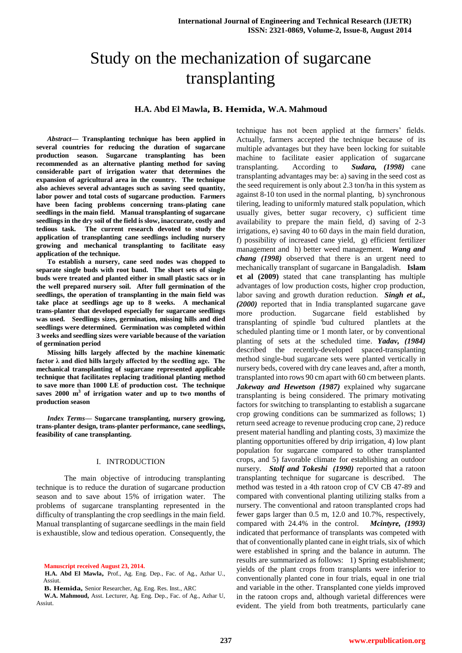# Study on the mechanization of sugarcane transplanting

# **H.A. Abd El Mawla, B. Hemida, W.A. Mahmoud**

*Abstract***— Transplanting technique has been applied in several countries for reducing the duration of sugarcane production season. Sugarcane transplanting has been recommended as an alternative planting method for saving considerable part of irrigation water that determines the expansion of agricultural area in the country. The technique also achieves several advantages such as saving seed quantity, labor power and total costs of sugarcane production. Farmers have been facing problems concerning trans-plating cane seedlings in the main field. Manual transplanting of sugarcane seedlings in the dry soil of the field is slow, inaccurate, costly and tedious task. The current research devoted to study the application of transplanting cane seedlings including nursery growing and mechanical transplanting to facilitate easy application of the technique.** 

**To establish a nursery, cane seed nodes was chopped to separate single buds with root band. The short sets of single buds were treated and planted either in small plastic sacs or in the well prepared nursery soil. After full germination of the seedlings, the operation of transplanting in the main field was take place at seedlings age up to 8 weeks. A mechanical trans-planter that developed especially for sugarcane seedlings was used. Seedlings sizes, germination, missing hills and died seedlings were determined. Germination was completed within 3 weeks and seedling sizes were variable because of the variation of germination period** 

**Missing hills largely affected by the machine kinematic factor λ and died hills largely affected by the seedling age. The mechanical transplanting of sugarcane represented applicable technique that facilitates replacing traditional planting method to save more than 1000 LE of production cost. The technique saves 2000 m<sup>3</sup> of irrigation water and up to two months of production season**

*Index Terms***— Sugarcane transplanting, nursery growing, trans-planter design, trans-planter performance, cane seedlings, feasibility of cane transplanting.**

## I. INTRODUCTION

The main objective of introducing transplanting technique is to reduce the duration of sugarcane production season and to save about 15% of irrigation water. The problems of sugarcane transplanting represented in the difficulty of transplanting the crop seedlings in the main field. Manual transplanting of sugarcane seedlings in the main field is exhaustible, slow and tedious operation. Consequently, the

**Manuscript received August 23, 2014.**

**H.A. Abd El Mawla,** Prof., Ag. Eng. Dep., Fac. of Ag., Azhar U., Assiut.

technique has not been applied at the farmers' fields. Actually, farmers accepted the technique because of its multiple advantages but they have been locking for suitable machine to facilitate easier application of sugarcane transplanting. According to *Sudara, (1998)* cane transplanting advantages may be: a) saving in the seed cost as the seed requirement is only about 2.3 ton/ha in this system as against 8-10 ton used in the normal planting, b) synchronous tilering, leading to uniformly matured stalk population, which usually gives, better sugar recovery, c) sufficient time availability to prepare the main field, d) saving of 2-3 irrigations, e) saving 40 to 60 days in the main field duration, f) possibility of increased cane yield, g) efficient fertilizer management and h) better weed management. *Wang and chang (1998)* observed that there is an urgent need to mechanically transplant of sugarcane in Bangaladish. **Islam et al (2009)** stated that cane transplanting has multiple advantages of low production costs, higher crop production, labor saving and growth duration reduction. *Singh et al., (2000)* reported that in India transplanted sugarcane gave more production. Sugarcane field established by transplanting of spindle 'bud cultured plantlets at the scheduled planting time or 1 month later, or by conventional planting of sets at the scheduled time. *Yadav, (1984)* described the recently-developed spaced-transplanting method single-bud sugarcane sets were planted vertically in nursery beds, covered with dry cane leaves and, after a month, transplanted into rows 90 cm apart with 60 cm between plants. *Jakeway and Hewetson (1987)* explained why sugarcane transplanting is being considered. The primary motivating factors for switching to transplanting to establish a sugarcane crop growing conditions can be summarized as follows; 1) return seed acreage to revenue producing crop cane, 2) reduce present material handling and planting costs, 3) maximize the planting opportunities offered by drip irrigation, 4) low plant population for sugarcane compared to other transplanted crops, and 5) favorable climate for establishing an outdoor nursery. *Stolf and Tokeshi (1990)* reported that a ratoon transplanting technique for sugarcane is described. The method was tested in a 4th ratoon crop of CV CB 47-89 and compared with conventional planting utilizing stalks from a nursery. The conventional and ratoon transplanted crops had fewer gaps larger than 0.5 m, 12.0 and 10.7%, respectively, compared with 24.4% in the control. *Mcintyre, (1993)* indicated that performance of transplants was competed with that of conventionally planted cane in eight trials, six of which were established in spring and the balance in autumn. The results are summarized as follows: 1) Spring establishment; yields of the plant crops from transplants were inferior to conventionally planted cone in four trials, equal in one trial and variable in the other. Transplanted cone yields improved in the ratoon crops and, although varietal differences were evident. The yield from both treatments, particularly cane

**B. Hemida,** Senior Researcher, Ag. Eng. Res. Inst., ARC

**W.A. Mahmoud,** Asst. Lecturer, Ag. Eng. Dep., Fac. of Ag., Azhar U, Assiut.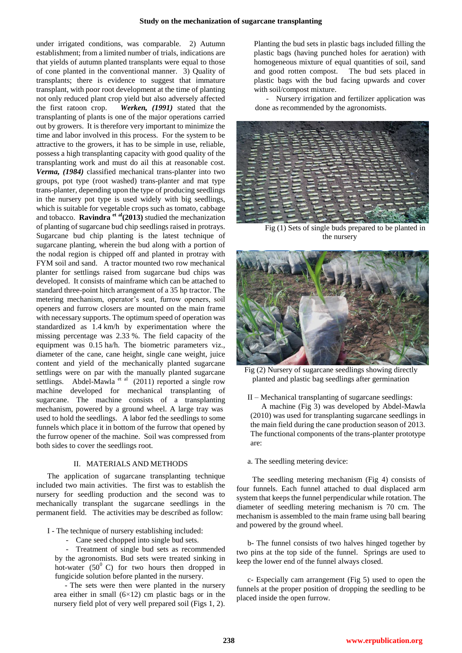under irrigated conditions, was comparable. 2) Autumn establishment; from a limited number of trials, indications are that yields of autumn planted transplants were equal to those of cone planted in the conventional manner. 3) Quality of transplants; there is evidence to suggest that immature transplant, with poor root development at the time of planting not only reduced plant crop yield but also adversely affected the first ratoon crop. *Werken, (1991)* stated that the transplanting of plants is one of the major operations carried out by growers. It is therefore very important to minimize the time and labor involved in this process. For the system to be attractive to the growers, it has to be simple in use, reliable, possess a high transplanting capacity with good quality of the transplanting work and must do ail this at reasonable cost. *Verma, (1984)* classified mechanical trans-planter into two groups, pot type (root washed) trans-planter and mat type trans-planter, depending upon the type of producing seedlings in the nursery pot type is used widely with big seedlings, which is suitable for vegetable crops such as tomato, cabbage and tobacco. **Ravindra et al(2013)** studied the mechanization of planting of sugarcane bud chip seedlings raised in protrays. Sugarcane bud chip planting is the latest technique of sugarcane planting, wherein the bud along with a portion of the nodal region is chipped off and planted in protray with FYM soil and sand. A tractor mounted two row mechanical planter for settlings raised from sugarcane bud chips was developed. It consists of mainframe which can be attached to standard three-point hitch arrangement of a 35 hp tractor. The metering mechanism, operator's seat, furrow openers, soil openers and furrow closers are mounted on the main frame with necessary supports. The optimum speed of operation was standardized as 1.4 km/h by experimentation where the missing percentage was 2.33 %. The field capacity of the equipment was 0.15 ha/h. The biometric parameters viz., diameter of the cane, cane height, single cane weight, juice content and yield of the mechanically planted sugarcane settlings were on par with the manually planted sugarcane settlings. Abdel-Mawla<sup>et al</sup>  $(2011)$  reported a single row machine developed for mechanical transplanting of sugarcane. The machine consists of a transplanting mechanism, powered by a ground wheel. A large tray was used to hold the seedlings. A labor fed the seedlings to some funnels which place it in bottom of the furrow that opened by the furrow opener of the machine. Soil was compressed from both sides to cover the seedlings root.

## II. MATERIALS AND METHODS

The application of sugarcane transplanting technique included two main activities. The first was to establish the nursery for seedling production and the second was to mechanically transplant the sugarcane seedlings in the permanent field. The activities may be described as follow:

I - The technique of nursery establishing included:

- Cane seed chopped into single bud sets.

- Treatment of single bud sets as recommended by the agronomists. Bud sets were treated sinking in hot-water  $(50^0 \text{ C})$  for two hours then dropped in fungicide solution before planted in the nursery.

- The sets were then were planted in the nursery area either in small  $(6\times12)$  cm plastic bags or in the nursery field plot of very well prepared soil (Figs 1, 2). Planting the bud sets in plastic bags included filling the plastic bags (having punched holes for aeration) with homogeneous mixture of equal quantities of soil, sand and good rotten compost. The bud sets placed in plastic bags with the bud facing upwards and cover with soil/compost mixture.

- Nursery irrigation and fertilizer application was done as recommended by the agronomists.



Fig (1) Sets of single buds prepared to be planted in the nursery



Fig (2) Nursery of sugarcane seedlings showing directly planted and plastic bag seedlings after germination

II – Mechanical transplanting of sugarcane seedlings:

A machine (Fig 3) was developed by Abdel-Mawla (2010) was used for transplanting sugarcane seedlings in the main field during the cane production season of 2013. The functional components of the trans-planter prototype are:

a. The seedling metering device:

The seedling metering mechanism (Fig 4) consists of four funnels. Each funnel attached to dual displaced arm system that keeps the funnel perpendicular while rotation. The diameter of seedling metering mechanism is 70 cm. The mechanism is assembled to the main frame using ball bearing and powered by the ground wheel.

b- The funnel consists of two halves hinged together by two pins at the top side of the funnel. Springs are used to keep the lower end of the funnel always closed.

c- Especially cam arrangement (Fig 5) used to open the funnels at the proper position of dropping the seedling to be placed inside the open furrow.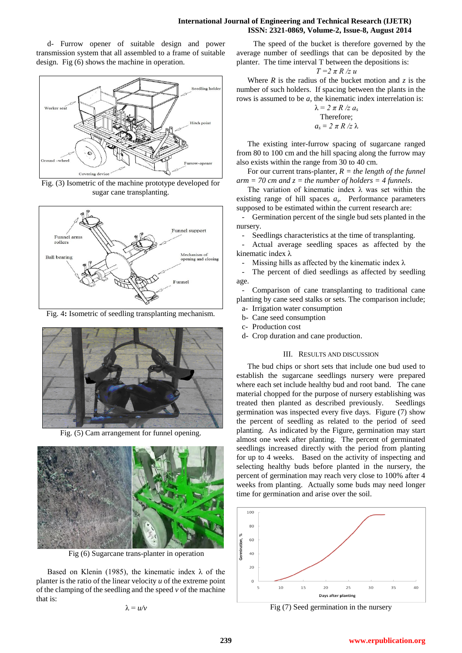## **International Journal of Engineering and Technical Research (IJETR) ISSN: 2321-0869, Volume-2, Issue-8, August 2014**

d- Furrow opener of suitable design and power transmission system that all assembled to a frame of suitable design. Fig (6) shows the machine in operation.



Fig. (3) Isometric of the machine prototype developed for sugar cane transplanting.



Fig. 4**:** Isometric of seedling transplanting mechanism.



Fig. (5) Cam arrangement for funnel opening.



Fig (6) Sugarcane trans-planter in operation

Based on Klenin (1985), the kinematic index  $\lambda$  of the planter is the ratio of the linear velocity *u* of the extreme point of the clamping of the seedling and the speed *v* of the machine that is:

λ = *u/v*

 The speed of the bucket is therefore governed by the average number of seedlings that can be deposited by the planter. The time interval T between the depositions is:

$$
T=2\pi R/z u
$$

Where  $R$  is the radius of the bucket motion and  $z$  is the number of such holders. If spacing between the plants in the rows is assumed to be *a,* the kinematic index interrelation is:

$$
\lambda = 2 \pi R / z a_s
$$
  
Therefore;  

$$
a_s = 2 \pi R / z \lambda
$$

The existing inter-furrow spacing of sugarcane ranged from 80 to 100 cm and the hill spacing along the furrow may also exists within the range from 30 to 40 cm.

For our current trans-planter, *R = the length of the funnel*   $arm = 70$  cm and  $z = the$  number of holders = 4 funnels.

The variation of kinematic index  $\lambda$  was set within the existing range of hill spaces *a<sup>s</sup> .* Performance parameters supposed to be estimated within the current research are:

- Germination percent of the single bud sets planted in the nursery.

Seedlings characteristics at the time of transplanting.

- Actual average seedling spaces as affected by the kinematic index λ

Missing hills as affected by the kinematic index  $\lambda$ 

The percent of died seedlings as affected by seedling age.

Comparison of cane transplanting to traditional cane planting by cane seed stalks or sets. The comparison include; a- Irrigation water consumption

- b- Cane seed consumption
- c- Production cost
- d- Crop duration and cane production.

#### III. RESULTS AND DISCUSSION

The bud chips or short sets that include one bud used to establish the sugarcane seedlings nursery were prepared where each set include healthy bud and root band. The cane material chopped for the purpose of nursery establishing was treated then planted as described previously. Seedlings germination was inspected every five days. Figure (7) show the percent of seedling as related to the period of seed planting. As indicated by the Figure, germination may start almost one week after planting. The percent of germinated seedlings increased directly with the period from planting for up to 4 weeks. Based on the activity of inspecting and selecting healthy buds before planted in the nursery, the percent of germination may reach very close to 100% after 4 weeks from planting. Actually some buds may need longer time for germination and arise over the soil.



Fig (7) Seed germination in the nursery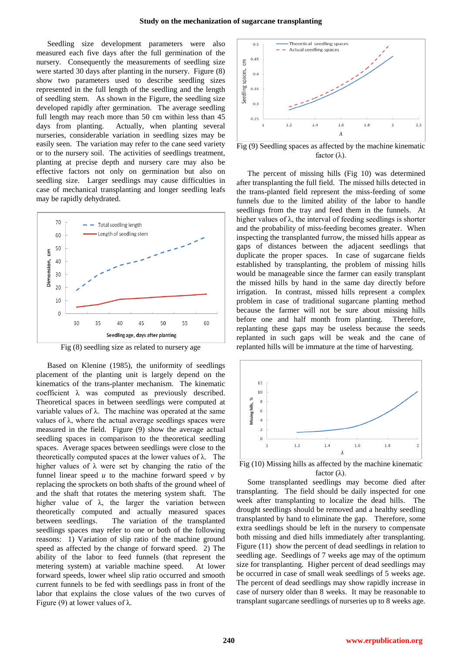Seedling size development parameters were also measured each five days after the full germination of the nursery. Consequently the measurements of seedling size were started 30 days after planting in the nursery. Figure (8) show two parameters used to describe seedling sizes represented in the full length of the seedling and the length of seedling stem. As shown in the Figure, the seedling size developed rapidly after germination. The average seedling full length may reach more than 50 cm within less than 45 days from planting. Actually, when planting several nurseries, considerable variation in seedling sizes may be easily seen. The variation may refer to the cane seed variety or to the nursery soil. The activities of seedlings treatment, planting at precise depth and nursery care may also be effective factors not only on germination but also on seedling size. Larger seedlings may cause difficulties in case of mechanical transplanting and longer seedling leafs may be rapidly dehydrated.



Fig (8) seedling size as related to nursery age

Based on Klenine (1985), the uniformity of seedlings placement of the planting unit is largely depend on the kinematics of the trans-planter mechanism. The kinematic coefficient λ was computed as previously described. Theoretical spaces in between seedlings were computed at variable values of λ. The machine was operated at the same values of λ, where the actual average seedlings spaces were measured in the field. Figure (9) show the average actual seedling spaces in comparison to the theoretical seedling spaces. Average spaces between seedlings were close to the theoretically computed spaces at the lower values of  $\lambda$ . The higher values of  $\lambda$  were set by changing the ratio of the funnel linear speed  $u$  to the machine forward speed  $v$  by replacing the sprockets on both shafts of the ground wheel of and the shaft that rotates the metering system shaft. The higher value of  $\lambda$ , the larger the variation between theoretically computed and actually measured spaces between seedlings. The variation of the transplanted seedlings spaces may refer to one or both of the following reasons: 1) Variation of slip ratio of the machine ground speed as affected by the change of forward speed. 2) The ability of the labor to feed funnels (that represent the metering system) at variable machine speed. At lower forward speeds, lower wheel slip ratio occurred and smooth current funnels to be fed with seedlings pass in front of the labor that explains the close values of the two curves of Figure (9) at lower values of  $\lambda$ .



Fig (9) Seedling spaces as affected by the machine kinematic factor  $(\lambda)$ .

The percent of missing hills (Fig 10) was determined after transplanting the full field. The missed hills detected in the trans-planted field represent the miss-feeding of some funnels due to the limited ability of the labor to handle seedlings from the tray and feed them in the funnels. At higher values of  $\lambda$ , the interval of feeding seedlings is shorter and the probability of miss-feeding becomes greater. When inspecting the transplanted furrow, the missed hills appear as gaps of distances between the adjacent seedlings that duplicate the proper spaces. In case of sugarcane fields established by transplanting, the problem of missing hills would be manageable since the farmer can easily transplant the missed hills by hand in the same day directly before irrigation. In contrast, missed hills represent a complex problem in case of traditional sugarcane planting method because the farmer will not be sure about missing hills before one and half month from planting. Therefore, replanting these gaps may be useless because the seeds replanted in such gaps will be weak and the cane of replanted hills will be immature at the time of harvesting.



Fig (10) Missing hills as affected by the machine kinematic factor (λ).

Some transplanted seedlings may become died after transplanting. The field should be daily inspected for one week after transplanting to localize the dead hills. The drought seedlings should be removed and a healthy seedling transplanted by hand to eliminate the gap. Therefore, some extra seedlings should be left in the nursery to compensate both missing and died hills immediately after transplanting. Figure (11) show the percent of dead seedlings in relation to seedling age. Seedlings of 7 weeks age may of the optimum size for transplanting. Higher percent of dead seedlings may be occurred in case of small weak seedlings of 5 weeks age. The percent of dead seedlings may show rapidly increase in case of nursery older than 8 weeks. It may be reasonable to transplant sugarcane seedlings of nurseries up to 8 weeks age.